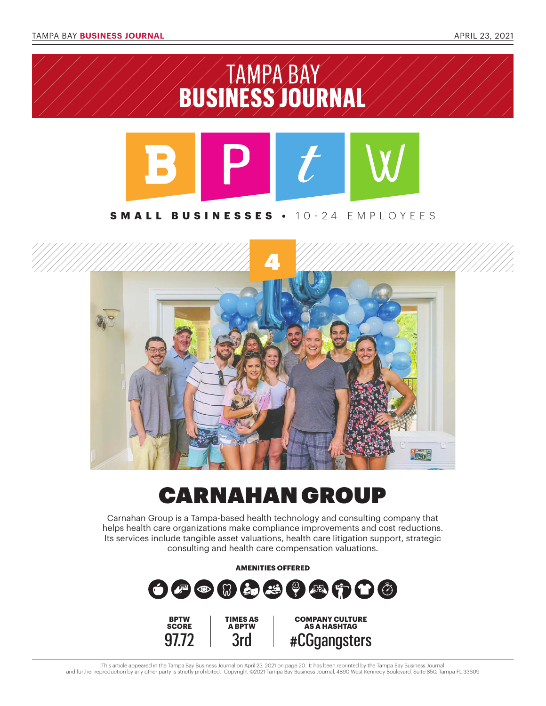



## CARNAHAN GROUP

Carnahan Group is a Tampa-based health technology and consulting company that helps health care organizations make compliance improvements and cost reductions. Its services include tangible asset valuations, health care litigation support, strategic consulting and health care compensation valuations.



This article appeared in the Tampa Bay Business Journal on April 23, 2021 on page 20. It has been reprinted by the Tampa Bay Business Journal and further reproduction by any other party is strictly prohibited. Copyright ©2021 Tampa Bay Business Journal, 4890 West Kennedy Boulevard, Suite 850, Tampa FL 33609